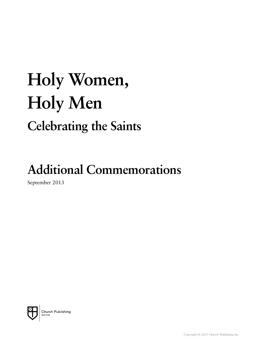# **Holy Women, Holy Men Celebrating the Saints**

## **Additional Commemorations**

September 2013

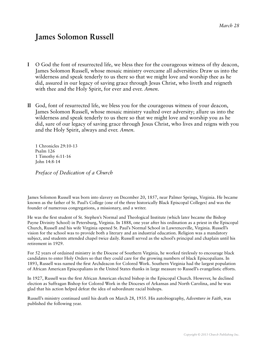#### **James Solomon Russell**

- **I** O God the font of resurrected life, we bless thee for the courageous witness of thy deacon, James Solomon Russell, whose mosaic ministry overcame all adversities: Draw us into the wilderness and speak tenderly to us there so that we might love and worship thee as he did, assured in our legacy of saving grace through Jesus Christ, who liveth and reigneth with thee and the Holy Spirit, for ever and ever. *Amen.*
- **II** God, font of resurrected life, we bless you for the courageous witness of your deacon, James Solomon Russell, whose mosaic ministry vaulted over adversity; allure us into the wilderness and speak tenderly to us there so that we might love and worship you as he did, sure of our legacy of saving grace through Jesus Christ, who lives and reigns with you and the Holy Spirit, always and ever. *Amen.*

1 Chronicles 29:10-13 Psalm 126 1 Timothy 6:11-16 John 14:8-14

*Preface of Dedication of a Church* 

James Solomon Russell was born into slavery on December 20, 1857, near Palmer Springs, Virginia. He became known as the father of St. Paul's College (one of the three historically Black Episcopal Colleges) and was the founder of numerous congregations, a missionary, and a writer.

He was the first student of St. Stephen's Normal and Theological Institute (which later became the Bishop Payne Divinity School) in Petersburg, Virginia. In 1888, one year after his ordination as a priest in the Episcopal Church, Russell and his wife Virginia opened St. Paul's Normal School in Lawrenceville, Virginia. Russell's vision for the school was to provide both a literary and an industrial education. Religion was a mandatory subject, and students attended chapel twice daily. Russell served as the school's principal and chaplain until his retirement in 1929.

For 52 years of ordained ministry in the Diocese of Southern Virginia, he worked tirelessly to encourage black candidates to enter Holy Orders so that they could care for the growing numbers of black Episcopalians. In 1893, Russell was named the first Archdeacon for Colored Work. Southern Virginia had the largest population of African American Episcopalians in the United States thanks in large measure to Russell's evangelistic efforts.

In 1927, Russell was the first African American elected bishop in the Episcopal Church. However, he declined election as Suffragan Bishop for Colored Work in the Dioceses of Arkansas and North Carolina, and he was glad that his action helped defeat the idea of subordinate racial bishops.

Russell's ministry continued until his death on March 28, 1935. His autobiography, *Adventure in Faith*, was published the following year.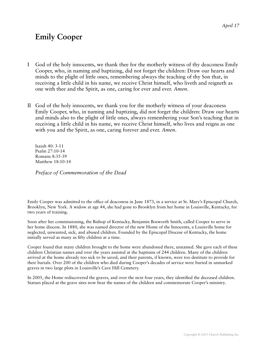#### **Emily Cooper**

- I God of the holy innocents, we thank thee for the motherly witness of thy deaconess Emily Cooper, who, in naming and baptizing, did not forget the children: Draw our hearts and minds to the plight of little ones, remembering always the teaching of thy Son that, in receiving a little child in his name, we receive Christ himself, who liveth and reigneth as one with thee and the Spirit, as one, caring for ever and ever. *Amen*.
- II God of the holy innocents, we thank you for the motherly witness of your deaconess Emily Cooper, who, in naming and baptizing, did not forget the children: Draw our hearts and minds also to the plight of little ones, always remembering your Son's teaching that in receiving a little child in his name, we receive Christ himself, who lives and reigns as one with you and the Spirit, as one, caring forever and ever. *Amen*.

Isaiah 40: 3-11 Psalm 27:10-14 Romans 8:35-39 Matthew 18:10-14

*Preface of Commemoration of the Dead* 

Emily Cooper was admitted to the office of deaconess in June 1873, in a service at St. Mary's Episcopal Church, Brooklyn, New York. A widow at age 44, she had gone to Brooklyn from her home in Louisville, Kentucky, for two years of training.

Soon after her commissioning, the Bishop of Kentucky, Benjamin Bosworth Smith, called Cooper to serve in her home diocese. In 1880, she was named director of the new Home of the Innocents, a Louisville home for neglected, unwanted, sick, and abused children. Founded by the Episcopal Diocese of Kentucky, the home initially served as many as fifty children at a time.

Cooper found that many children brought to the home were abandoned there, unnamed. She gave each of these children Christian names and over the years assisted at the baptisms of 244 children. Many of the children arrived at the home already too sick to be saved, and their parents, if known, were too destitute to provide for their burials. Over 200 of the children who died during Cooper's decades of service were buried in unmarked graves in two large plots in Louisville's Cave Hill Cemetery.

In 2005, the Home rediscovered the graves, and over the next four years, they identified the deceased children. Statues placed at the grave sites now bear the names of the children and commemorate Cooper's ministry.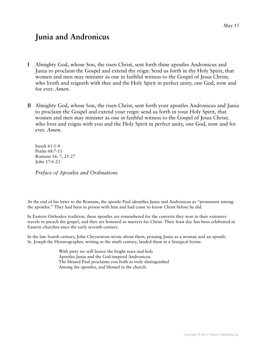#### **Junia and Andronicus**

- **I** Almighty God, whose Son, the risen Christ, sent forth thine apostles Andronicus and Junia to proclaim the Gospel and extend thy reign: Send us forth in thy Holy Spirit, that women and men may minister as one in faithful witness to the Gospel of Jesus Christ; who liveth and reigneth with thee and the Holy Spirit in perfect unity, one God, now and for ever. *Amen.*
- **II** Almighty God, whose Son, the risen Christ, sent forth your apostles Andronicus and Junia to proclaim the Gospel and extend your reign: send us forth in your Holy Spirit, that women and men may minister as one in faithful witness to the Gospel of Jesus Christ; who lives and reigns with you and the Holy Spirit in perfect unity, one God, now and for ever. *Amen*.

Isaiah 61:1-4 Psalm 68:7-11 Romans 16: 7, 25-27 John 17:6-23

*Preface of Apostles and Ordinations* 

At the end of his letter to the Romans, the apostle Paul identifies Junia and Andronicus as "prominent among the apostles." They had been in prison with him and had come to know Christ before he did.

In Eastern Orthodox tradition, these apostles are remembered for the converts they won in their extensive travels to preach the gospel, and they are honored as martyrs for Christ. Their feast day has been celebrated in Eastern churches since the early seventh century.

In the late fourth century, John Chrysostom wrote about them, praising Junia as a woman and an apostle. St. Joseph the Hymnographer, writing in the ninth century, lauded them in a liturgical hymn:

> With piety we will honor the bright stars and holy Apostles Junia and the God-inspired Andronicus. The blessed Paul proclaims you both as truly distinguished Among the apostles, and blessed in the church.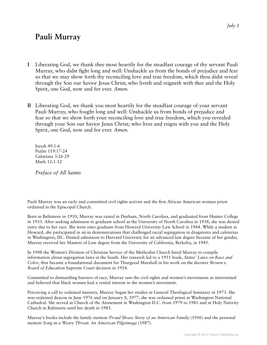#### **Pauli Murray**

- **I** Liberating God, we thank thee most heartily for the steadfast courage of thy servant Pauli Murray, who didst fight long and well: Unshackle us from the bonds of prejudice and fear so that we may show forth thy reconciling love and true freedom, which thou didst reveal through thy Son our Savior Jesus Christ; who liveth and reigneth with thee and the Holy Spirit, one God, now and for ever. *Amen.*
- **II** Liberating God, we thank you most heartily for the steadfast courage of your servant Pauli Murray, who fought long and well: Unshackle us from bonds of prejudice and fear so that we show forth your reconciling love and true freedom, which you revealed through your Son our Savior Jesus Christ; who lives and reigns with you and the Holy Spirit, one God, now and for ever. *Amen.*

Isaiah 49:1-6 Psalm 119:17-24 Galatians 3:26-29 Mark 12:1-12

*Preface of All Saints* 

Pauli Murray was an early and committed civil rights activist and the first African American woman priest ordained in the Episcopal Church.

Born in Baltimore in 1910, Murray was raised in Durham, North Carolina, and graduated from Hunter College in 1933. After seeking admission to graduate school at the University of North Carolina in 1938, she was denied entry due to her race. She went onto graduate from Howard University Law School in 1944. While a student at Howard, she participated in sit-in demonstrations that challenged racial segregation in drugstores and cafeterias in Washington, DC. Denied admission to Harvard University for an advanced law degree because of her gender, Murray received her Masters of Law degree from the University of California, Berkeley, in 1945.

In 1948 the Women's Division of Christian Service of the Methodist Church hired Murray to compile information about segregation laws in the South. Her research led to a 1951 book, *States' Laws on Race and Color*, that became a foundational document for Thurgood Marshall in his work on the decisive *Brown v. Board of Education* Supreme Court decision in 1954.

Committed to dismantling barriers of race, Murray saw the civil rights and women's movements as intertwined and believed that black women had a vested interest in the women's movement.

Perceiving a call to ordained ministry, Murray began her studies at General Theological Seminary in 1973. She was ordained deacon in June 1976 and on January 8, 1977, she was ordained priest at Washington National Cathedral. She served at Church of the Atonement in Washington D.C. from 1979 to 1981 and at Holy Nativity Church in Baltimore until her death in 1985.

Murray's books include the family memoir *Proud Shoes: Story of an American Family* (1956) and the personal memoir *Song in a Weary Throat: An American Pilgrimage* (1987).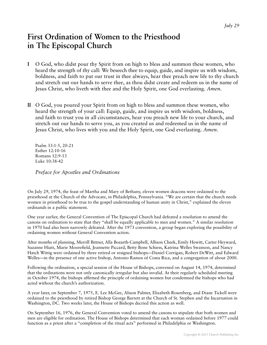#### **First Ordination of Women to the Priesthood in The Episcopal Church**

- **I** O God, who didst pour thy Spirit from on high to bless and summon these women, who heard the strength of thy call: We beseech thee to equip, guide, and inspire us with wisdom, boldness, and faith to put our trust in thee always, hear thee preach new life to thy church and stretch out our hands to serve thee, as thou didst create and redeem us in the name of Jesus Christ, who liveth with thee and the Holy Spirit, one God everlasting. *Amen.*
- **II** O God, you poured your Spirit from on high to bless and summon these women, who heard the strength of your call: Equip, guide, and inspire us with wisdom, boldness, and faith to trust you in all circumstances, hear you preach new life to your church, and stretch out our hands to serve you, as you created us and redeemed us in the name of Jesus Christ, who lives with you and the Holy Spirit, one God everlasting. *Amen.*

Psalm 33:1-5, 20-21 Esther 12:10-16 Romans 12:9-13 Luke 10:38-42

*Preface for Apostles and Ordinations* 

On July 29, 1974, the feast of Martha and Mary of Bethany, eleven women deacons were ordained to the priesthood at the Church of the Advocate, in Philadelphia, Pennsylvania. "We are certain that the church needs women in priesthood to be true to the gospel understanding of human unity in Christ," explained the eleven ordinands in a public statement.

One year earlier, the General Convention of The Episcopal Church had defeated a resolution to amend the canons on ordination to state that they "shall be equally applicable to men and women." A similar resolution in 1970 had also been narrowly defeated. After the 1973 convention, a group began exploring the possibility of ordaining women without General Convention action.

After months of planning, Merrill Bittner, Alla Bozarth-Campbell, Allison Cheek, Emily Hewitt, Carter Heyward, Suzanne Hiatt, Marie Moorefield, Jeannette Piccard, Betty Bone Schiess, Katrina Welles Swanson, and Nancy Hatch Wittig were ordained by three retired or resigned bishops—Daniel Corrigan, Robert DeWitt, and Edward Welles—in the presence of one active bishop, Antonio Ramos of Costa Rica, and a congregation of about 2000.

Following the ordination, a special session of the House of Bishops, convened on August 14, 1974, determined that the ordinations were not only canonically irregular but also invalid. At their regularly scheduled meeting in October 1974, the bishops affirmed the principle of ordaining women but condemned the bishops who had acted without the church's authorization.

A year later, on September 7, 1975, E. Lee McGee, Alison Palmer, Elizabeth Rosenberg, and Diane Tickell were ordained to the priesthood by retired Bishop George Barrett at the Church of St. Stephen and the Incarnation in Washington, DC. Two weeks later, the House of Bishops decried this action as well.

On September 16, 1976, the General Convention voted to amend the canons to stipulate that both women and men are eligible for ordination. The House of Bishops determined that each woman ordained before 1977 could function as a priest after a "completion of the ritual acts" performed in Philadelphia or Washington.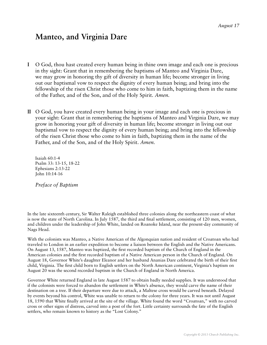#### **Manteo, and Virginia Dare**

- **I** O God, thou hast created every human being in thine own image and each one is precious in thy sight: Grant that in remembering the baptisms of Manteo and Virginia Dare, we may grow in honoring thy gift of diversity in human life; become stronger in living out our baptismal vow to respect the dignity of every human being; and bring into the fellowship of the risen Christ those who come to him in faith, baptizing them in the name of the Father, and of the Son, and of the Holy Spirit. *Amen.*
- **II** O God, you have created every human being in your image and each one is precious in your sight: Grant that in remembering the baptisms of Manteo and Virginia Dare, we may grow in honoring your gift of diversity in human life; become stronger in living out our baptismal vow to respect the dignity of every human being; and bring into the fellowship of the risen Christ those who come to him in faith, baptizing them in the name of the Father, and of the Son, and of the Holy Spirit. *Amen.*

Isaiah 60:1-4 Psalm 33: 13-15, 18-22 Ephesians 2:13-22 John 10:14-16

*Preface of Baptism* 

In the late sixteenth century, Sir Walter Raleigh established three colonies along the northeastern coast of what is now the state of North Carolina. In July 1587, the third and final settlement, consisting of 120 men, women, and children under the leadership of John White, landed on Roanoke Island, near the present-day community of Nags Head.

With the colonists was Manteo, a Native American of the Algonquian nation and resident of Croatoan who had traveled to London in an earlier expedition to become a liaison between the English and the Native Americans. On August 13, 1587, Manteo was baptized, the first recorded baptism of the Church of England in the American colonies and the first recorded baptism of a Native American person in the Church of England. On August 18, Governor White's daughter Eleanor and her husband Ananias Dare celebrated the birth of their first child, Virginia. The first child born to English settlers on the North American continent, Virginia's baptism on August 20 was the second recorded baptism in the Church of England in North America.

Governor White returned England in late August 1587 to obtain badly needed supplies. It was understood that if the colonists were forced to abandon the settlement in White's absence, they would carve the name of their destination on a tree. If their departure were due to attack, a Maltese cross would be carved beneath. Delayed by events beyond his control, White was unable to return to the colony for three years. It was not until August 18, 1590 that White finally arrived at the site of the village. White found the word "Croatoan," with no carved cross or other signs of distress, carved into a post of the fort. Little certainty surrounds the fate of the English settlers, who remain known to history as the "Lost Colony."